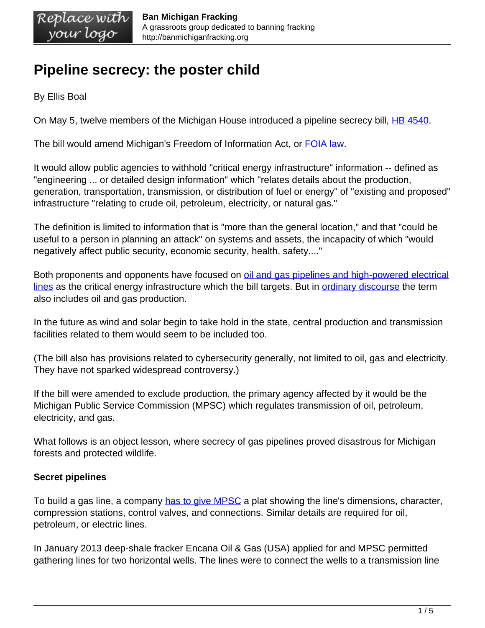# **Pipeline secrecy: the poster child**

By Ellis Boal

On May 5, twelve members of the Michigan House introduced a pipeline secrecy bill, [HB 4540](http://www.legislature.mi.gov/documents/2015-2016/billintroduced/House/pdf/2015-HIB-4540.pdf).

The bill would amend Michigan's Freedom of Information Act, or [FOIA law](http://www.legislature.mi.gov/%28S%28pcbandmndw0ce1fgoxs0yiba%29%29/mileg.aspx?page=getObject&objectName=mcl-Act-442-of-1976).

It would allow public agencies to withhold "critical energy infrastructure" information -- defined as "engineering ... or detailed design information" which "relates details about the production, generation, transportation, transmission, or distribution of fuel or energy" of "existing and proposed" infrastructure "relating to crude oil, petroleum, electricity, or natural gas."

The definition is limited to information that is "more than the general location," and that "could be useful to a person in planning an attack" on systems and assets, the incapacity of which "would negatively affect public security, economic security, health, safety...."

Both proponents and opponents have focused on [oil and gas pipelines and high-powered electrical](http://www.freep.com/story/news/local/michigan/2015/05/06/oil-gas-pipelines-freedom-information-foia-exempt/70923006/) [lines](http://www.freep.com/story/news/local/michigan/2015/05/06/oil-gas-pipelines-freedom-information-foia-exempt/70923006/) as the critical energy infrastructure which the bill targets. But in **ordinary discourse** the term also includes oil and gas production.

In the future as wind and solar begin to take hold in the state, central production and transmission facilities related to them would seem to be included too.

(The bill also has provisions related to cybersecurity generally, not limited to oil, gas and electricity. They have not sparked widespread controversy.)

If the bill were amended to exclude production, the primary agency affected by it would be the Michigan Public Service Commission (MPSC) which regulates transmission of oil, petroleum, electricity, and gas.

What follows is an object lesson, where secrecy of gas pipelines proved disastrous for Michigan forests and protected wildlife.

# **Secret pipelines**

To build a gas line, a company [has to give MPSC](http://www.legislature.mi.gov/%28S%28pcbandmndw0ce1fgoxs0yiba%29%29/mileg.aspx?page=getObject&objectName=mcl-483-109) a plat showing the line's dimensions, character, compression stations, control valves, and connections. Similar details are required for oil, petroleum, or electric lines.

In January 2013 deep-shale fracker Encana Oil & Gas (USA) applied for and MPSC permitted gathering lines for two horizontal wells. The lines were to connect the wells to a transmission line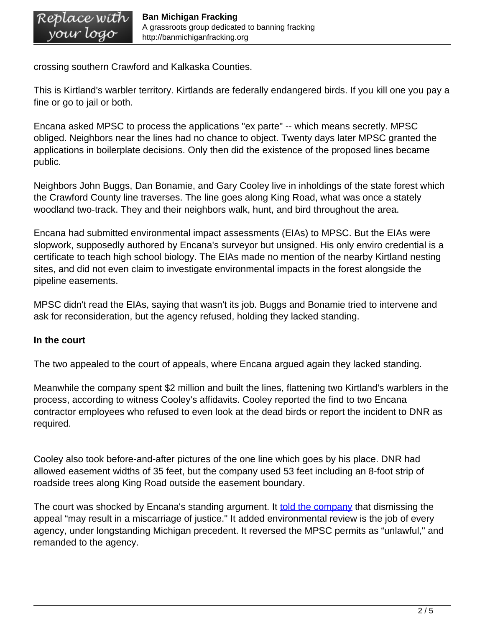crossing southern Crawford and Kalkaska Counties.

This is Kirtland's warbler territory. Kirtlands are federally endangered birds. If you kill one you pay a fine or go to jail or both.

Encana asked MPSC to process the applications "ex parte" -- which means secretly. MPSC obliged. Neighbors near the lines had no chance to object. Twenty days later MPSC granted the applications in boilerplate decisions. Only then did the existence of the proposed lines became public.

Neighbors John Buggs, Dan Bonamie, and Gary Cooley live in inholdings of the state forest which the Crawford County line traverses. The line goes along King Road, what was once a stately woodland two-track. They and their neighbors walk, hunt, and bird throughout the area.

Encana had submitted environmental impact assessments (EIAs) to MPSC. But the EIAs were slopwork, supposedly authored by Encana's surveyor but unsigned. His only enviro credential is a certificate to teach high school biology. The EIAs made no mention of the nearby Kirtland nesting sites, and did not even claim to investigate environmental impacts in the forest alongside the pipeline easements.

MPSC didn't read the EIAs, saying that wasn't its job. Buggs and Bonamie tried to intervene and ask for reconsideration, but the agency refused, holding they lacked standing.

#### **In the court**

The two appealed to the court of appeals, where Encana argued again they lacked standing.

Meanwhile the company spent \$2 million and built the lines, flattening two Kirtland's warblers in the process, according to witness Cooley's affidavits. Cooley reported the find to two Encana contractor employees who refused to even look at the dead birds or report the incident to DNR as required.

Cooley also took before-and-after pictures of the one line which goes by his place. DNR had allowed easement widths of 35 feet, but the company used 53 feet including an 8-foot strip of roadside trees along King Road outside the easement boundary.

The court was shocked by Encana's standing argument. It [told the company](http://publicdocs.courts.mi.gov:81/OPINIONS/FINAL/COA/20150113_C315058_66_315058.OPN.PDF) that dismissing the appeal "may result in a miscarriage of justice." It added environmental review is the job of every agency, under longstanding Michigan precedent. It reversed the MPSC permits as "unlawful," and remanded to the agency.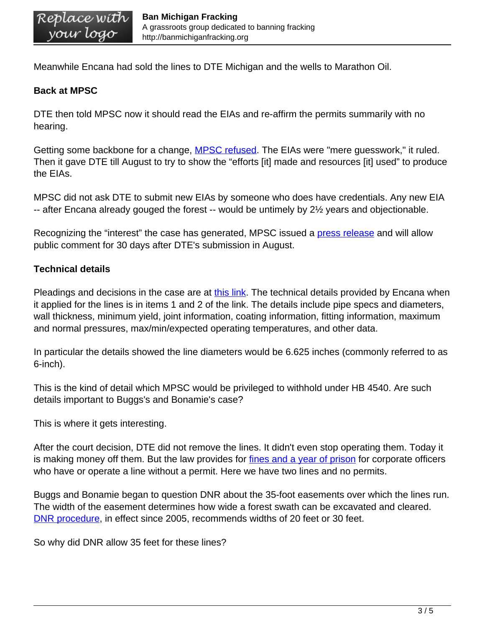Meanwhile Encana had sold the lines to DTE Michigan and the wells to Marathon Oil.

#### **Back at MPSC**

DTE then told MPSC now it should read the EIAs and re-affirm the permits summarily with no hearing.

Getting some backbone for a change, **MPSC refused**. The EIAs were "mere guesswork," it ruled. Then it gave DTE till August to try to show the "efforts [it] made and resources [it] used" to produce the EIAs.

MPSC did not ask DTE to submit new EIAs by someone who does have credentials. Any new EIA -- after Encana already gouged the forest -- would be untimely by 2½ years and objectionable.

Recognizing the "interest" the case has generated, MPSC issued a *press release* and will allow public comment for 30 days after DTE's submission in August.

## **Technical details**

Pleadings and decisions in the case are at [this link.](http://efile.mpsc.state.mi.us/efile/viewcase.php?casenum=17195&submit.x=0&submit.y=0) The technical details provided by Encana when it applied for the lines is in items 1 and 2 of the link. The details include pipe specs and diameters, wall thickness, minimum yield, joint information, coating information, fitting information, maximum and normal pressures, max/min/expected operating temperatures, and other data.

In particular the details showed the line diameters would be 6.625 inches (commonly referred to as 6-inch).

This is the kind of detail which MPSC would be privileged to withhold under HB 4540. Are such details important to Buggs's and Bonamie's case?

This is where it gets interesting.

After the court decision, DTE did not remove the lines. It didn't even stop operating them. Today it is making money off them. But the law provides for [fines and a year of prison](http://www.legislature.mi.gov/%28S%285r1g1limgzskk2jatf22pqo1%29%29/mileg.aspx?page=getObject&objectName=mcl-483-115) for corporate officers who have or operate a line without a permit. Here we have two lines and no permits.

Buggs and Bonamie began to question DNR about the 35-foot easements over which the lines run. The width of the easement determines how wide a forest swath can be excavated and cleared. [DNR procedure,](http://www.michigan.gov/documents/dnr/28.46-05_297616_7.pdf) in effect since 2005, recommends widths of 20 feet or 30 feet.

So why did DNR allow 35 feet for these lines?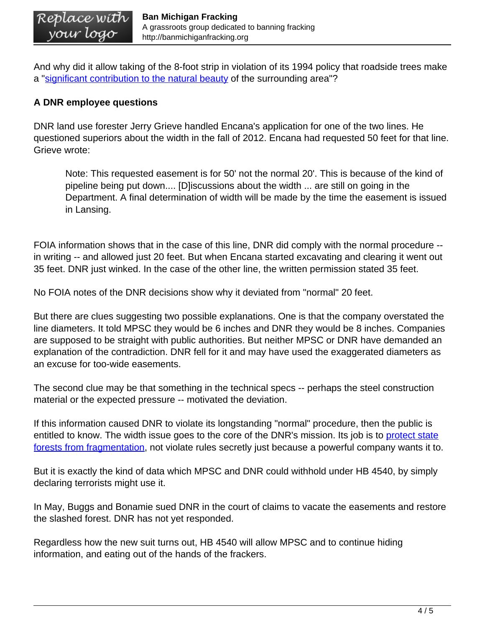And why did it allow taking of the 8-foot strip in violation of its 1994 policy that roadside trees make a "[significant contribution to the natural beauty](http://www.midnr.com/Publications/pdfs/InsideDNR/NRC/NRC_Policies/4605.htm) of the surrounding area"?

## **A DNR employee questions**

DNR land use forester Jerry Grieve handled Encana's application for one of the two lines. He questioned superiors about the width in the fall of 2012. Encana had requested 50 feet for that line. Grieve wrote:

Note: This requested easement is for 50' not the normal 20'. This is because of the kind of pipeline being put down.... [D]iscussions about the width ... are still on going in the Department. A final determination of width will be made by the time the easement is issued in Lansing.

FOIA information shows that in the case of this line, DNR did comply with the normal procedure - in writing -- and allowed just 20 feet. But when Encana started excavating and clearing it went out 35 feet. DNR just winked. In the case of the other line, the written permission stated 35 feet.

No FOIA notes of the DNR decisions show why it deviated from "normal" 20 feet.

But there are clues suggesting two possible explanations. One is that the company overstated the line diameters. It told MPSC they would be 6 inches and DNR they would be 8 inches. Companies are supposed to be straight with public authorities. But neither MPSC or DNR have demanded an explanation of the contradiction. DNR fell for it and may have used the exaggerated diameters as an excuse for too-wide easements.

The second clue may be that something in the technical specs -- perhaps the steel construction material or the expected pressure -- motivated the deviation.

If this information caused DNR to violate its longstanding "normal" procedure, then the public is entitled to know. The width issue goes to the core of the DNR's mission. Its job is to [protect state](http://www.michigan.gov/documents/dnr/2.0NeedForForestLegacyProgram_242970_7.pdf) [forests from fragmentation,](http://www.michigan.gov/documents/dnr/2.0NeedForForestLegacyProgram_242970_7.pdf) not violate rules secretly just because a powerful company wants it to.

But it is exactly the kind of data which MPSC and DNR could withhold under HB 4540, by simply declaring terrorists might use it.

In May, Buggs and Bonamie sued DNR in the court of claims to vacate the easements and restore the slashed forest. DNR has not yet responded.

Regardless how the new suit turns out, HB 4540 will allow MPSC and to continue hiding information, and eating out of the hands of the frackers.